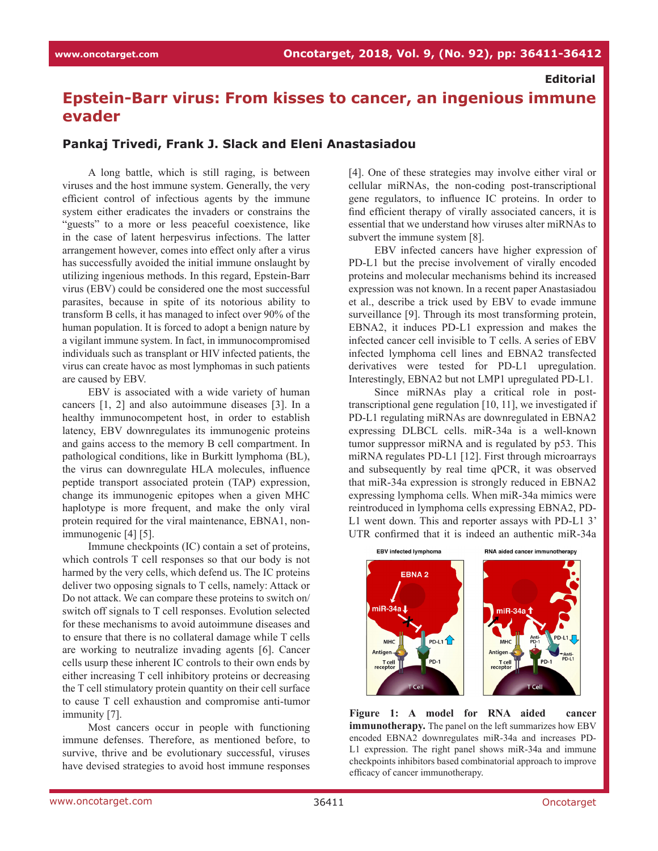## **Editorial**

## **Epstein-Barr virus: From kisses to cancer, an ingenious immune evader**

## **Pankaj Trivedi, Frank J. Slack and Eleni Anastasiadou**

A long battle, which is still raging, is between viruses and the host immune system. Generally, the very efficient control of infectious agents by the immune system either eradicates the invaders or constrains the "guests" to a more or less peaceful coexistence, like in the case of latent herpesvirus infections. The latter arrangement however, comes into effect only after a virus has successfully avoided the initial immune onslaught by utilizing ingenious methods. In this regard, Epstein-Barr virus (EBV) could be considered one the most successful parasites, because in spite of its notorious ability to transform B cells, it has managed to infect over 90% of the human population. It is forced to adopt a benign nature by a vigilant immune system. In fact, in immunocompromised individuals such as transplant or HIV infected patients, the virus can create havoc as most lymphomas in such patients are caused by EBV.

EBV is associated with a wide variety of human cancers [1, 2] and also autoimmune diseases [3]. In a healthy immunocompetent host, in order to establish latency, EBV downregulates its immunogenic proteins and gains access to the memory B cell compartment. In pathological conditions, like in Burkitt lymphoma (BL), the virus can downregulate HLA molecules, influence peptide transport associated protein (TAP) expression, change its immunogenic epitopes when a given MHC haplotype is more frequent, and make the only viral protein required for the viral maintenance, EBNA1, nonimmunogenic [4] [5].

Immune checkpoints (IC) contain a set of proteins, which controls T cell responses so that our body is not harmed by the very cells, which defend us. The IC proteins deliver two opposing signals to T cells, namely: Attack or Do not attack. We can compare these proteins to switch on/ switch off signals to T cell responses. Evolution selected for these mechanisms to avoid autoimmune diseases and to ensure that there is no collateral damage while T cells are working to neutralize invading agents [6]. Cancer cells usurp these inherent IC controls to their own ends by either increasing T cell inhibitory proteins or decreasing the T cell stimulatory protein quantity on their cell surface to cause T cell exhaustion and compromise anti-tumor immunity [7].

Most cancers occur in people with functioning immune defenses. Therefore, as mentioned before, to survive, thrive and be evolutionary successful, viruses have devised strategies to avoid host immune responses

[4]. One of these strategies may involve either viral or cellular miRNAs, the non-coding post-transcriptional gene regulators, to influence IC proteins. In order to find efficient therapy of virally associated cancers, it is essential that we understand how viruses alter miRNAs to subvert the immune system [8].

EBV infected cancers have higher expression of PD-L1 but the precise involvement of virally encoded proteins and molecular mechanisms behind its increased expression was not known. In a recent paper Anastasiadou et al., describe a trick used by EBV to evade immune surveillance [9]. Through its most transforming protein, EBNA2, it induces PD-L1 expression and makes the infected cancer cell invisible to T cells. A series of EBV infected lymphoma cell lines and EBNA2 transfected derivatives were tested for PD-L1 upregulation. Interestingly, EBNA2 but not LMP1 upregulated PD-L1.

Since miRNAs play a critical role in posttranscriptional gene regulation [10, 11], we investigated if PD-L1 regulating miRNAs are downregulated in EBNA2 expressing DLBCL cells. miR-34a is a well-known tumor suppressor miRNA and is regulated by p53. This miRNA regulates PD-L1 [12]. First through microarrays and subsequently by real time qPCR, it was observed that miR-34a expression is strongly reduced in EBNA2 expressing lymphoma cells. When miR-34a mimics were reintroduced in lymphoma cells expressing EBNA2, PD-L1 went down. This and reporter assays with PD-L1 3' UTR confirmed that it is indeed an authentic miR-34a



**Figure 1: A model for RNA aided cancer immunotherapy.** The panel on the left summarizes how EBV encoded EBNA2 downregulates miR-34a and increases PD-L1 expression. The right panel shows miR-34a and immune checkpoints inhibitors based combinatorial approach to improve efficacy of cancer immunotherapy.